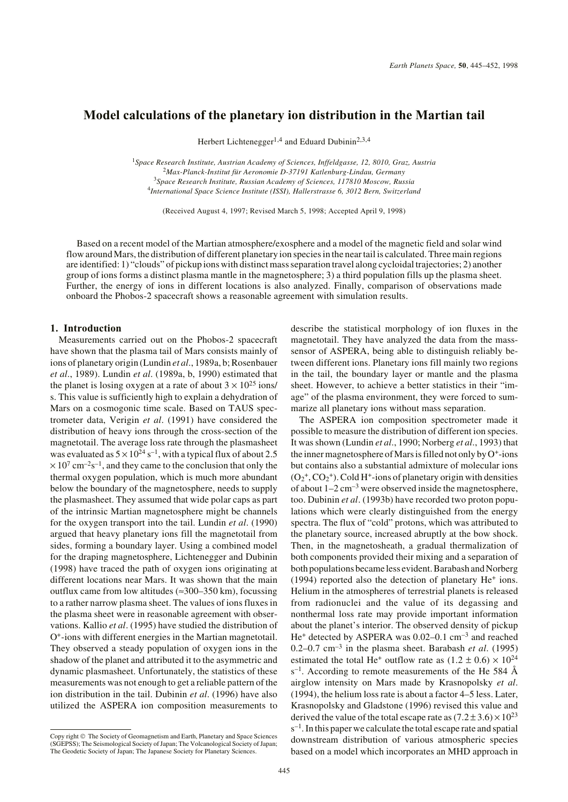# **Model calculations of the planetary ion distribution in the Martian tail**

Herbert Lichtenegger<sup>1,4</sup> and Eduard Dubinin<sup>2,3,4</sup>

*Space Research Institute, Austrian Academy of Sciences, Inffeldgasse, 12, 8010, Graz, Austria Max-Planck-Institut für Aeronomie D-37191 Katlenburg-Lindau, Germany Space Research Institute, Russian Academy of Sciences, 117810 Moscow, Russia International Space Science Institute (ISSI), Hallerstrasse 6, 3012 Bern, Switzerland*

(Received August 4, 1997; Revised March 5, 1998; Accepted April 9, 1998)

Based on a recent model of the Martian atmosphere/exosphere and a model of the magnetic field and solar wind flow around Mars, the distribution of different planetary ion species in the near tail is calculated. Three main regions are identified: 1) "clouds" of pickup ions with distinct mass separation travel along cycloidal trajectories; 2) another group of ions forms a distinct plasma mantle in the magnetosphere; 3) a third population fills up the plasma sheet. Further, the energy of ions in different locations is also analyzed. Finally, comparison of observations made onboard the Phobos-2 spacecraft shows a reasonable agreement with simulation results.

## **1. Introduction**

Measurements carried out on the Phobos-2 spacecraft have shown that the plasma tail of Mars consists mainly of ions of planetary origin (Lundin *et al*., 1989a, b; Rosenbauer *et al*., 1989). Lundin *et al*. (1989a, b, 1990) estimated that the planet is losing oxygen at a rate of about  $3 \times 10^{25}$  ions/ s. This value is sufficiently high to explain a dehydration of Mars on a cosmogonic time scale. Based on TAUS spectrometer data, Verigin *et al*. (1991) have considered the distribution of heavy ions through the cross-section of the magnetotail. The average loss rate through the plasmasheet was evaluated as  $5 \times 10^{24}$  s<sup>-1</sup>, with a typical flux of about 2.5  $\times 10^{7}$  cm<sup>-2</sup>s<sup>-1</sup>, and they came to the conclusion that only the thermal oxygen population, which is much more abundant below the boundary of the magnetosphere, needs to supply the plasmasheet. They assumed that wide polar caps as part of the intrinsic Martian magnetosphere might be channels for the oxygen transport into the tail. Lundin *et al*. (1990) argued that heavy planetary ions fill the magnetotail from sides, forming a boundary layer. Using a combined model for the draping magnetosphere, Lichtenegger and Dubinin (1998) have traced the path of oxygen ions originating at different locations near Mars. It was shown that the main outflux came from low altitudes ( $\approx$ 300–350 km), focussing to a rather narrow plasma sheet. The values of ions fluxes in the plasma sheet were in reasonable agreement with observations. Kallio *et al*. (1995) have studied the distribution of O+-ions with different energies in the Martian magnetotail. They observed a steady population of oxygen ions in the shadow of the planet and attributed it to the asymmetric and dynamic plasmasheet. Unfortunately, the statistics of these measurements was not enough to get a reliable pattern of the ion distribution in the tail. Dubinin *et al*. (1996) have also utilized the ASPERA ion composition measurements to describe the statistical morphology of ion fluxes in the magnetotail. They have analyzed the data from the masssensor of ASPERA, being able to distinguish reliably between different ions. Planetary ions fill mainly two regions in the tail, the boundary layer or mantle and the plasma sheet. However, to achieve a better statistics in their "image" of the plasma environment, they were forced to summarize all planetary ions without mass separation.

The ASPERA ion composition spectrometer made it possible to measure the distribution of different ion species. It was shown (Lundin *et al*., 1990; Norberg *et al*., 1993) that the inner magnetosphere of Mars is filled not only by  $O^+$ -ions but contains also a substantial admixture of molecular ions  $(O_2^+, CO_2^+)$ . Cold H<sup>+</sup>-ions of planetary origin with densities of about  $1-2$  cm<sup>-3</sup> were observed inside the magnetosphere, too. Dubinin *et al*. (1993b) have recorded two proton populations which were clearly distinguished from the energy spectra. The flux of "cold" protons, which was attributed to the planetary source, increased abruptly at the bow shock. Then, in the magnetosheath, a gradual thermalization of both components provided their mixing and a separation of both populations became less evident. Barabash and Norberg  $(1994)$  reported also the detection of planetary He<sup>+</sup> ions. Helium in the atmospheres of terrestrial planets is released from radionuclei and the value of its degassing and nonthermal loss rate may provide important information about the planet's interior. The observed density of pickup He+ detected by ASPERA was 0.02–0.1 cm–3 and reached 0.2–0.7 cm–3 in the plasma sheet. Barabash *et al*. (1995) estimated the total He<sup>+</sup> outflow rate as  $(1.2 \pm 0.6) \times 10^{24}$  $s^{-1}$ . According to remote measurements of the He 584 Å airglow intensity on Mars made by Krasnopolsky *et al*. (1994), the helium loss rate is about a factor 4–5 less. Later, Krasnopolsky and Gladstone (1996) revised this value and derived the value of the total escape rate as  $(7.2 \pm 3.6) \times 10^{23}$  $s^{-1}$ . In this paper we calculate the total escape rate and spatial downstream distribution of various atmospheric species based on a model which incorporates an MHD approach in

Copy right © The Society of Geomagnetism and Earth, Planetary and Space Sciences (SGEPSS); The Seismological Society of Japan; The Volcanological Society of Japan; The Geodetic Society of Japan; The Japanese Society for Planetary Sciences.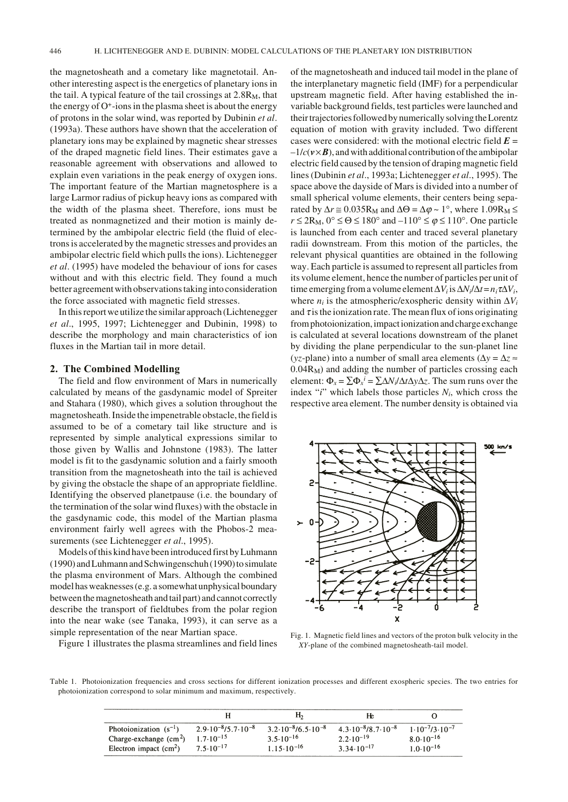the magnetosheath and a cometary like magnetotail. Another interesting aspect is the energetics of planetary ions in the tail. A typical feature of the tail crossings at  $2.8R_M$ , that the energy of  $O^+$ -ions in the plasma sheet is about the energy of protons in the solar wind, was reported by Dubinin *et al*. (1993a). These authors have shown that the acceleration of planetary ions may be explained by magnetic shear stresses of the draped magnetic field lines. Their estimates gave a reasonable agreement with observations and allowed to explain even variations in the peak energy of oxygen ions. The important feature of the Martian magnetosphere is a large Larmor radius of pickup heavy ions as compared with the width of the plasma sheet. Therefore, ions must be treated as nonmagnetized and their motion is mainly determined by the ambipolar electric field (the fluid of electrons is accelerated by the magnetic stresses and provides an ambipolar electric field which pulls the ions). Lichtenegger *et al*. (1995) have modeled the behaviour of ions for cases without and with this electric field. They found a much better agreement with observations taking into consideration the force associated with magnetic field stresses.

In this report we utilize the similar approach (Lichtenegger *et al*., 1995, 1997; Lichtenegger and Dubinin, 1998) to describe the morphology and main characteristics of ion fluxes in the Martian tail in more detail.

## **2. The Combined Modelling**

The field and flow environment of Mars in numerically calculated by means of the gasdynamic model of Spreiter and Stahara (1980), which gives a solution throughout the magnetosheath. Inside the impenetrable obstacle, the field is assumed to be of a cometary tail like structure and is represented by simple analytical expressions similar to those given by Wallis and Johnstone (1983). The latter model is fit to the gasdynamic solution and a fairly smooth transition from the magnetosheath into the tail is achieved by giving the obstacle the shape of an appropriate fieldline. Identifying the observed planetpause (i.e. the boundary of the termination of the solar wind fluxes) with the obstacle in the gasdynamic code, this model of the Martian plasma environment fairly well agrees with the Phobos-2 measurements (see Lichtenegger *et al*., 1995).

Models of this kind have been introduced first by Luhmann (1990) and Luhmann and Schwingenschuh (1990) to simulate the plasma environment of Mars. Although the combined model has weaknesses (e.g. a somewhat unphysical boundary between the magnetosheath and tail part) and cannot correctly describe the transport of fieldtubes from the polar region into the near wake (see Tanaka, 1993), it can serve as a simple representation of the near Martian space.

Figure 1 illustrates the plasma streamlines and field lines

of the magnetosheath and induced tail model in the plane of the interplanetary magnetic field (IMF) for a perpendicular upstream magnetic field. After having established the invariable background fields, test particles were launched and their trajectories followed by numerically solving the Lorentz equation of motion with gravity included. Two different cases were considered: with the motional electric field  $E =$  $-1/c$  ( $\nu \times B$ ), and with additional contribution of the ambipolar electric field caused by the tension of draping magnetic field lines (Dubinin *et al*., 1993a; Lichtenegger *et al*., 1995). The space above the dayside of Mars is divided into a number of small spherical volume elements, their centers being separated by  $\Delta r \approx 0.035R_M$  and  $\Delta \Theta = \Delta \varphi \sim 1^{\circ}$ , where  $1.09R_M \le$  $r \leq 2R_M$ ,  $0^\circ \leq \Theta \leq 180^\circ$  and  $-110^\circ \leq \varphi \leq 110^\circ$ . One particle is launched from each center and traced several planetary radii downstream. From this motion of the particles, the relevant physical quantities are obtained in the following way. Each particle is assumed to represent all particles from its volume element, hence the number of particles per unit of time emerging from a volume element  $\Delta V_i$  is  $\Delta N_i / \Delta t = n_i \tau \Delta V_i$ , where  $n_i$  is the atmospheric/exospheric density within  $\Delta V_i$ and  $\tau$  is the ionization rate. The mean flux of ions originating from photoionization, impact ionization and charge exchange is calculated at several locations downstream of the planet by dividing the plane perpendicular to the sun-planet line (*yz*-plane) into a number of small area elements ( $\Delta y = \Delta z \approx$ 0.04RM) and adding the number of particles crossing each element:  $Φ_x = \sum Φ_x^i = \sum ΔN_i/ΔtΔyΔz$ . The sum runs over the index "*i*" which labels those particles *Ni*, which cross the respective area element. The number density is obtained via



Fig. 1. Magnetic field lines and vectors of the proton bulk velocity in the *XY*-plane of the combined magnetosheath-tail model.

Table 1. Photoionization frequencies and cross sections for different ionization processes and different exospheric species. The two entries for photoionization correspond to solar minimum and maximum, respectively.

|                            |                                          | Н,                                       | Њ                                       |                                 |
|----------------------------|------------------------------------------|------------------------------------------|-----------------------------------------|---------------------------------|
| Photoionization $(s^{-1})$ | $2.9 \cdot 10^{-8}$ /5.7 $\cdot 10^{-8}$ | $3.2 \cdot 10^{-8}$ /6.5 $\cdot 10^{-8}$ | $4.3 \cdot 10^{-8} / 8.7 \cdot 10^{-8}$ | $1.10^{-7}$ /3.10 <sup>-7</sup> |
| Charge-exchange $(cm2)$    | $1.7 \cdot 10^{-15}$                     | $3.5 \cdot 10^{-16}$                     | $2.2 \cdot 10^{-19}$                    | $8.0 \cdot 10^{-16}$            |
| Electron impact $(cm2)$    | $7.5 \cdot 10^{-17}$                     | $1.15 \cdot 10^{-16}$                    | $3.34 \cdot 10^{-17}$                   | $1.0 \cdot 10^{-16}$            |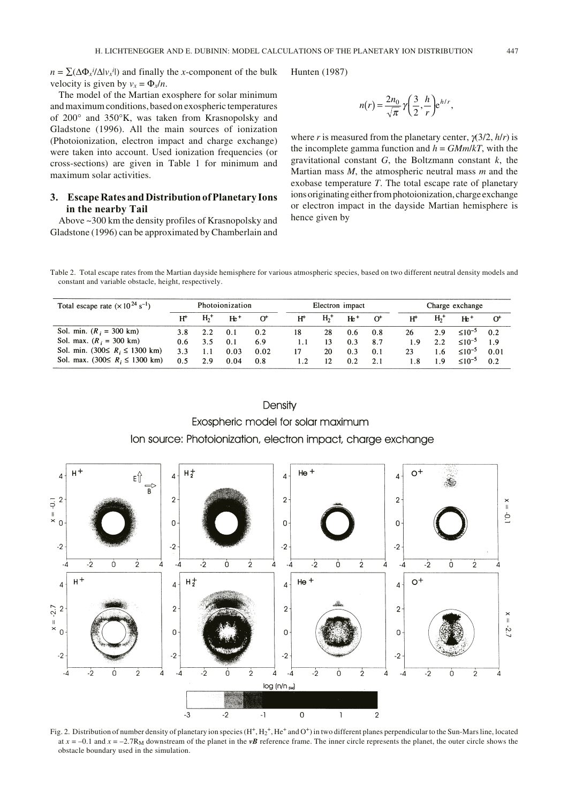$n = \sum (\Delta \Phi_x^i / \Delta |v_x^i|)$  and finally the *x*-component of the bulk velocity is given by  $v_x = \Phi_x/n$ .

The model of the Martian exosphere for solar minimum and maximum conditions, based on exospheric temperatures of 200° and 350°K, was taken from Krasnopolsky and Gladstone (1996). All the main sources of ionization (Photoionization, electron impact and charge exchange) were taken into account. Used ionization frequencies (or cross-sections) are given in Table 1 for minimum and maximum solar activities.

# **3. Escape Rates and Distribution of Planetary Ions in the nearby Tail**

Above ~300 km the density profiles of Krasnopolsky and Gladstone (1996) can be approximated by Chamberlain and

$$
Hunten (1987)
$$

$$
n(r) = \frac{2n_0}{\sqrt{\pi}} \gamma \left(\frac{3}{2}, \frac{h}{r}\right) e^{h/r},
$$

where *r* is measured from the planetary center, γ(3/2, *h*/*r*) is the incomplete gamma function and  $h = \frac{GMm}{kT}$ , with the gravitational constant *G*, the Boltzmann constant *k*, the Martian mass *M*, the atmospheric neutral mass *m* and the exobase temperature *T*. The total escape rate of planetary ions originating either from photoionization, charge exchange or electron impact in the dayside Martian hemisphere is hence given by

Table 2. Total escape rates from the Martian dayside hemisphere for various atmospheric species, based on two different neutral density models and constant and variable obstacle, height, respectively.

| Total escape rate $(x 10^{24} \text{ s}^{-1})$ | Photoionization |                |       | Electron impact |                |                   | Charge exchange |          |     |                |                |          |
|------------------------------------------------|-----------------|----------------|-------|-----------------|----------------|-------------------|-----------------|----------|-----|----------------|----------------|----------|
|                                                | $H^+$           | H <sub>2</sub> | $He+$ | $\alpha$        | $H^+$          | $H2$ <sup>+</sup> | $He+$           | $\sigma$ | H۲  | H <sub>2</sub> | $He+$          | $\alpha$ |
| Sol. min. $(R_i = 300 \text{ km})$             | 3.8             | 2.2            | 0.1   | 0.2             | 18             | 28                | 0.6             | 0.8      | 26  | 2.9            | $\leq 10^{-5}$ | 0.2      |
| Sol. max. $(R_i = 300 \text{ km})$             | $0.6^{\circ}$   | 3.5            | 0.1   | 6.9             | 1.1            | 13                | 0.3             | 8.7      | 1.9 | 2.2            | $\leq 10^{-5}$ | 1.9      |
| Sol. min. $(300≤ R_i ≤ 1300 km)$               | 3.3             |                | 0.03  | 0.02            | 17             | 20                | 0.3             | 0.1      | 23  | 1.6            | $≤10^{-5}$     | 0.01     |
| Sol. max. $(300≤ R_i ≤ 1300 km)$               | 0.5             | 2.9            | 0.04  | 0.8             | $\mathbf{1}$ . | 12.               | 0.2             | 2.1      | 1.8 | 1.9            | $\leq 10^{-5}$ | 0.2      |

# Density Exospheric model for solar maximum Ion source: Photoionization, electron impact, charge exchange



Fig. 2. Distribution of number density of planetary ion species  $(H^+, H_2^+, He^+$  and  $O^+)$  in two different planes perpendicular to the Sun-Mars line, located at  $x = -0.1$  and  $x = -2.7R_M$  downstream of the planet in the *vB* reference frame. The inner circle represents the planet, the outer circle shows the obstacle boundary used in the simulation.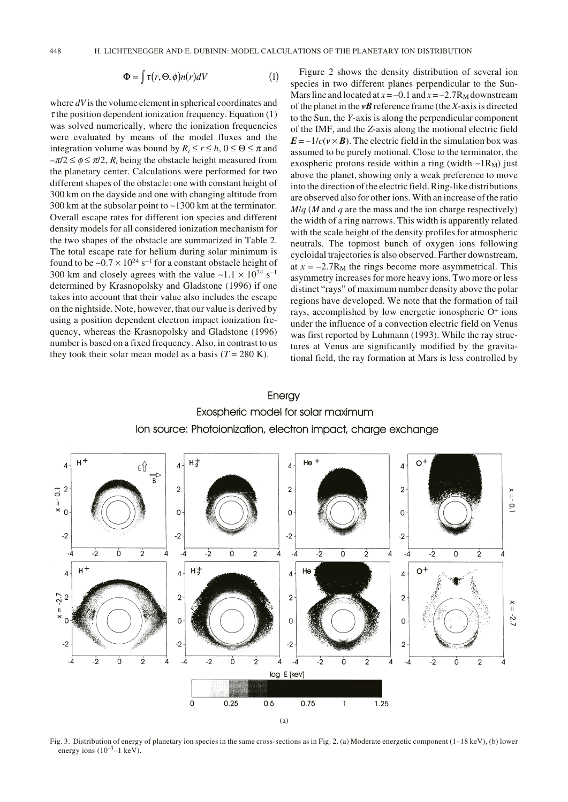$$
\Phi = \int \tau(r, \Theta, \phi) n(r) dV \tag{1}
$$

where *dV* is the volume element in spherical coordinates and  $\tau$  the position dependent ionization frequency. Equation (1) was solved numerically, where the ionization frequencies were evaluated by means of the model fluxes and the integration volume was bound by  $R_i \le r \le h$ ,  $0 \le \Theta \le \pi$  and  $-\pi/2 \le \phi \le \pi/2$ ,  $R_i$  being the obstacle height measured from the planetary center. Calculations were performed for two different shapes of the obstacle: one with constant height of 300 km on the dayside and one with changing altitude from 300 km at the subsolar point to ~1300 km at the terminator. Overall escape rates for different ion species and different density models for all considered ionization mechanism for the two shapes of the obstacle are summarized in Table 2. The total escape rate for helium during solar minimum is found to be  $\sim 0.7 \times 10^{24}$  s<sup>-1</sup> for a constant obstacle height of 300 km and closely agrees with the value  $\sim$ 1.1  $\times$  10<sup>24</sup> s<sup>-1</sup> determined by Krasnopolsky and Gladstone (1996) if one takes into account that their value also includes the escape on the nightside. Note, however, that our value is derived by using a position dependent electron impact ionization frequency, whereas the Krasnopolsky and Gladstone (1996) number is based on a fixed frequency. Also, in contrast to us they took their solar mean model as a basis  $(T = 280 \text{ K})$ .

Figure 2 shows the density distribution of several ion species in two different planes perpendicular to the Sun-Mars line and located at  $x = -0.1$  and  $x = -2.7R_M$  downstream of the planet in the *vB* reference frame (the *X*-axis is directed to the Sun, the *Y*-axis is along the perpendicular component of the IMF, and the *Z*-axis along the motional electric field  $E = -1/c$  ( $v \times B$ ). The electric field in the simulation box was assumed to be purely motional. Close to the terminator, the exospheric protons reside within a ring (width  $\sim$ 1R<sub>M</sub>) just above the planet, showing only a weak preference to move into the direction of the electric field. Ring-like distributions are observed also for other ions. With an increase of the ratio  $M/a$  (*M* and *q* are the mass and the ion charge respectively) the width of a ring narrows. This width is apparently related with the scale height of the density profiles for atmospheric neutrals. The topmost bunch of oxygen ions following cycloidal trajectories is also observed. Farther downstream, at  $x = -2.7R_M$  the rings become more asymmetrical. This asymmetry increases for more heavy ions. Two more or less distinct "rays" of maximum number density above the polar regions have developed. We note that the formation of tail rays, accomplished by low energetic ionospheric O+ ions under the influence of a convection electric field on Venus was first reported by Luhmann (1993). While the ray structures at Venus are significantly modified by the gravitational field, the ray formation at Mars is less controlled by





Fig. 3. Distribution of energy of planetary ion species in the same cross-sections as in Fig. 2. (a) Moderate energetic component (1–18 keV), (b) lower energy ions  $(10^{-3} - 1 \text{ keV})$ .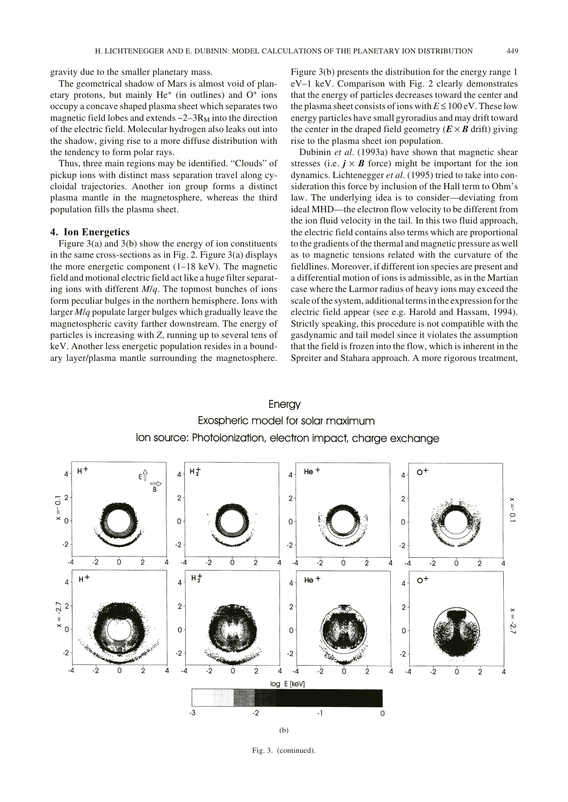gravity due to the smaller planetary mass.

The geometrical shadow of Mars is almost void of planetary protons, but mainly  $He<sup>+</sup>$  (in outlines) and  $O<sup>+</sup>$  ions occupy a concave shaped plasma sheet which separates two magnetic field lobes and extends  $\sim$  2–3 $R_M$  into the direction of the electric field. Molecular hydrogen also leaks out into the shadow, giving rise to a more diffuse distribution with the tendency to form polar rays.

Thus, three main regions may be identified. "Clouds" of pickup ions with distinct mass separation travel along cycloidal trajectories. Another ion group forms a distinct plasma mantle in the magnetosphere, whereas the third population fills the plasma sheet.

### **4. Ion Energetics**

Figure  $3(a)$  and  $3(b)$  show the energy of ion constituents in the same cross-sections as in Fig. 2. Figure 3(a) displays the more energetic component (1–18 keV). The magnetic field and motional electric field act like a huge filter separating ions with different *M*/*q*. The topmost bunches of ions form peculiar bulges in the northern hemisphere. Ions with larger *M*/*q* populate larger bulges which gradually leave the magnetospheric cavity farther downstream. The energy of particles is increasing with *Z*, running up to several tens of keV. Another less energetic population resides in a boundary layer/plasma mantle surrounding the magnetosphere. Figure 3(b) presents the distribution for the energy range 1 eV–1 keV. Comparison with Fig. 2 clearly demonstrates that the energy of particles decreases toward the center and the plasma sheet consists of ions with  $E \le 100$  eV. These low energy particles have small gyroradius and may drift toward the center in the draped field geometry  $(E \times B)$  drift) giving rise to the plasma sheet ion population.

Dubinin *et al*. (1993a) have shown that magnetic shear stresses (i.e.  $j \times B$  force) might be important for the ion dynamics. Lichtenegger *et al*. (1995) tried to take into consideration this force by inclusion of the Hall term to Ohm's law. The underlying idea is to consider—deviating from ideal MHD—the electron flow velocity to be different from the ion fluid velocity in the tail. In this two fluid approach, the electric field contains also terms which are proportional to the gradients of the thermal and magnetic pressure as well as to magnetic tensions related with the curvature of the fieldlines. Moreover, if different ion species are present and a differential motion of ions is admissible, as in the Martian case where the Larmor radius of heavy ions may exceed the scale of the system, additional terms in the expression for the electric field appear (see e.g. Harold and Hassam, 1994). Strictly speaking, this procedure is not compatible with the gasdynamic and tail model since it violates the assumption that the field is frozen into the flow, which is inherent in the Spreiter and Stahara approach. A more rigorous treatment,





Fig. 3. (continued).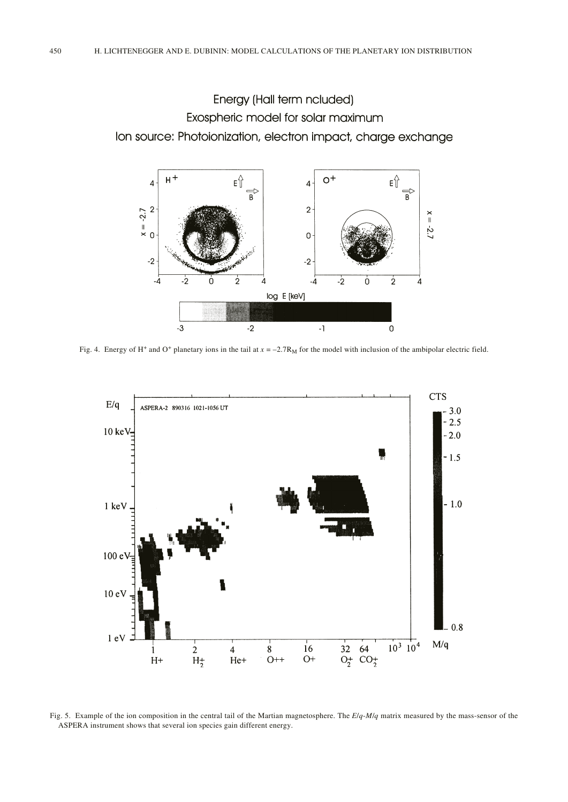Energy (Hall term ncluded) Exospheric model for solar maximum Ion source: Photoionization, electron impact, charge exchange



Fig. 4. Energy of H<sup>+</sup> and O<sup>+</sup> planetary ions in the tail at  $x = -2.7R<sub>M</sub>$  for the model with inclusion of the ambipolar electric field.



Fig. 5. Example of the ion composition in the central tail of the Martian magnetosphere. The *E*/*q*-*M*/*q* matrix measured by the mass-sensor of the ASPERA instrument shows that several ion species gain different energy.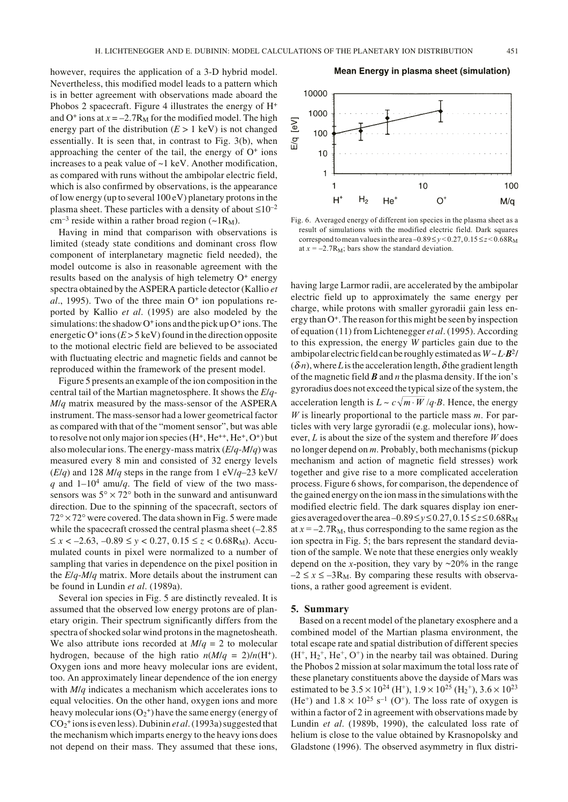however, requires the application of a 3-D hybrid model. Nevertheless, this modified model leads to a pattern which is in better agreement with observations made aboard the Phobos 2 spacecraft. Figure 4 illustrates the energy of  $H^+$ and  $O^+$  ions at  $x = -2.7R_M$  for the modified model. The high energy part of the distribution  $(E > 1 \text{ keV})$  is not changed essentially. It is seen that, in contrast to Fig. 3(b), when approaching the center of the tail, the energy of  $O<sup>+</sup>$  ions increases to a peak value of ~1 keV. Another modification, as compared with runs without the ambipolar electric field, which is also confirmed by observations, is the appearance of low energy (up to several 100 eV) planetary protons in the plasma sheet. These particles with a density of about  $\leq 10^{-2}$  $cm^{-3}$  reside within a rather broad region (~1R<sub>M</sub>).

Having in mind that comparison with observations is limited (steady state conditions and dominant cross flow component of interplanetary magnetic field needed), the model outcome is also in reasonable agreement with the results based on the analysis of high telemetry O<sup>+</sup> energy spectra obtained by the ASPERA particle detector (Kallio *et*  $al., 1995$ ). Two of the three main  $O<sup>+</sup>$  ion populations reported by Kallio *et al*. (1995) are also modeled by the simulations: the shadow  $O^+$  ions and the pick up  $O^+$  ions. The energetic  $O^+$  ions  $(E > 5 \text{ keV})$  found in the direction opposite to the motional electric field are believed to be associated with fluctuating electric and magnetic fields and cannot be reproduced within the framework of the present model.

Figure 5 presents an example of the ion composition in the central tail of the Martian magnetosphere. It shows the *E*/*q*-*M*/*q* matrix measured by the mass-sensor of the ASPERA instrument. The mass-sensor had a lower geometrical factor as compared with that of the "moment sensor", but was able to resolve not only major ion species  $(H^+, He^{++}, He^+, O^+)$  but also molecular ions. The energy-mass matrix (*E*/*q*-*M*/*q*) was measured every 8 min and consisted of 32 energy levels (*E*/*q*) and 128 *M*/*q* steps in the range from 1 eV/*q*–23 keV/ *q* and  $1-10^4$  amu/*q*. The field of view of the two masssensors was  $5^{\circ} \times 72^{\circ}$  both in the sunward and antisunward direction. Due to the spinning of the spacecraft, sectors of  $72^{\circ} \times 72^{\circ}$  were covered. The data shown in Fig. 5 were made while the spacecraft crossed the central plasma sheet  $(-2.85)$ ≤ *x* < –2.63, –0.89 ≤ *y* < 0.27, 0.15 ≤ *z* < 0.68RM). Accumulated counts in pixel were normalized to a number of sampling that varies in dependence on the pixel position in the *E*/*q*-*M*/*q* matrix. More details about the instrument can be found in Lundin *et al*. (1989a).

Several ion species in Fig. 5 are distinctly revealed. It is assumed that the observed low energy protons are of planetary origin. Their spectrum significantly differs from the spectra of shocked solar wind protons in the magnetosheath. We also attribute ions recorded at  $M/q = 2$  to molecular hydrogen, because of the high ratio  $n(M/q = 2)/n(H^+)$ . Oxygen ions and more heavy molecular ions are evident, too. An approximately linear dependence of the ion energy with *M*/*q* indicates a mechanism which accelerates ions to equal velocities. On the other hand, oxygen ions and more heavy molecular ions  $(O_2^+)$  have the same energy (energy of CO2 + ions is even less). Dubinin *et al*. (1993a) suggested that the mechanism which imparts energy to the heavy ions does not depend on their mass. They assumed that these ions,

#### Mean Energy in plasma sheet (simulation)



Fig. 6. Averaged energy of different ion species in the plasma sheet as a result of simulations with the modified electric field. Dark squares correspond to mean values in the area  $-0.89 \le v \le 0.27$ ,  $0.15 \le z \le 0.68$ R<sub>M</sub> at  $x = -2.7R_M$ ; bars show the standard deviation.

having large Larmor radii, are accelerated by the ambipolar electric field up to approximately the same energy per charge, while protons with smaller gyroradii gain less energy than  $O^+$ . The reason for this might be seen by inspection of equation (11) from Lichtenegger *et al*. (1995). According to this expression, the energy *W* particles gain due to the ambipolar electric field can be roughly estimated as  $W \sim L \cdot \mathbf{B}^2$  $(\delta n)$ , where *L* is the acceleration length,  $\delta$  the gradient length of the magnetic field *B* and *n* the plasma density. If the ion's gyroradius does not exceed the typical size of the system, the acceleration length is  $L \sim c \sqrt{m \cdot W}/q \cdot B$ . Hence, the energy *W* is linearly proportional to the particle mass *m*. For particles with very large gyroradii (e.g. molecular ions), however, *L* is about the size of the system and therefore *W* does no longer depend on *m*. Probably, both mechanisms (pickup mechanism and action of magnetic field stresses) work together and give rise to a more complicated acceleration process. Figure 6 shows, for comparison, the dependence of the gained energy on the ion mass in the simulations with the modified electric field. The dark squares display ion energies averaged over the area  $-0.89 \le y \le 0.27, 0.15 \le z \le 0.68$ R<sub>M</sub> at  $x = -2.7R_M$ , thus corresponding to the same region as the ion spectra in Fig. 5; the bars represent the standard deviation of the sample. We note that these energies only weakly depend on the *x*-position, they vary by  $\sim$ 20% in the range  $-2 \le x \le -3R_M$ . By comparing these results with observations, a rather good agreement is evident.

### **5. Summary**

Based on a recent model of the planetary exosphere and a combined model of the Martian plasma environment, the total escape rate and spatial distribution of different species  $(H<sup>+</sup>, H<sub>2</sub><sup>+</sup>, He<sup>+</sup>, O<sup>+</sup>)$  in the nearby tail was obtained. During the Phobos 2 mission at solar maximum the total loss rate of these planetary constituents above the dayside of Mars was estimated to be  $3.5 \times 10^{24}$  (H<sup>+</sup>),  $1.9 \times 10^{25}$  (H<sub>2</sub><sup>+</sup>),  $3.6 \times 10^{23}$ (He<sup>+</sup>) and  $1.8 \times 10^{25}$  s<sup>-1</sup> (O<sup>+</sup>). The loss rate of oxygen is within a factor of 2 in agreement with observations made by Lundin *et al*. (1989b, 1990), the calculated loss rate of helium is close to the value obtained by Krasnopolsky and Gladstone (1996). The observed asymmetry in flux distri